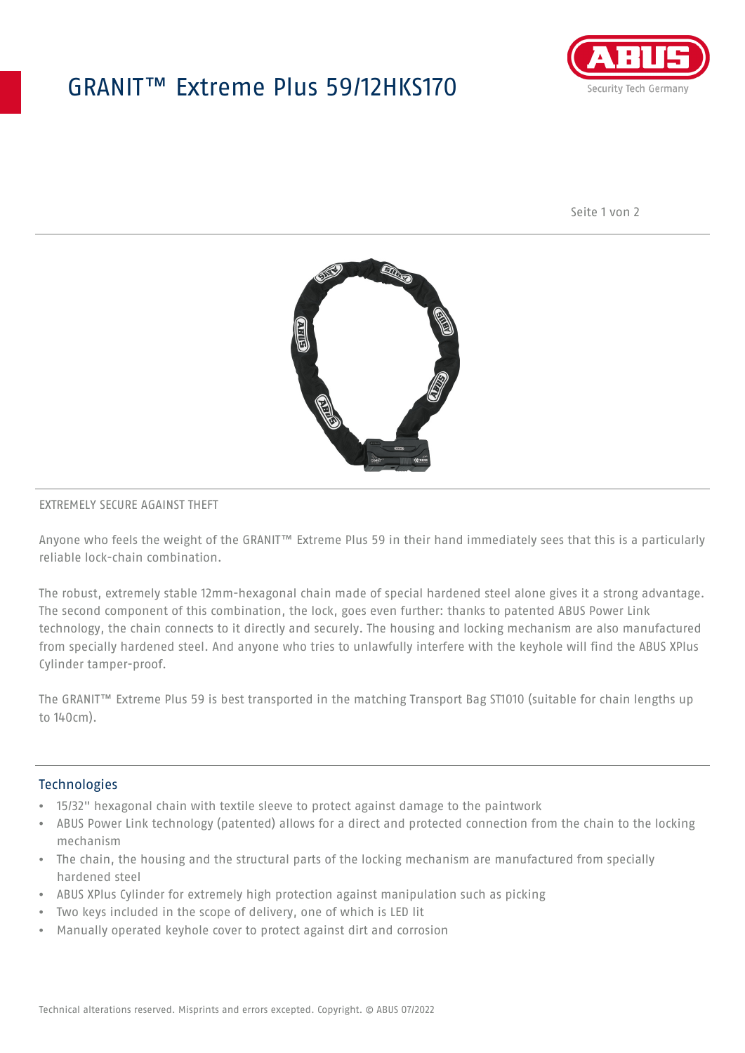## GRANIT™ Extreme Plus 59/12HKS170



Seite 1 von 2



### EXTREMELY SECURE AGAINST THEFT

Anyone who feels the weight of the GRANIT™ Extreme Plus 59 in their hand immediately sees that this is a particularly reliable lock-chain combination.

The robust, extremely stable 12mm-hexagonal chain made of special hardened steel alone gives it a strong advantage. The second component of this combination, the lock, goes even further: thanks to patented ABUS Power Link technology, the chain connects to it directly and securely. The housing and locking mechanism are also manufactured from specially hardened steel. And anyone who tries to unlawfully interfere with the keyhole will find the ABUS XPlus Cylinder tamper-proof.

The GRANIT™ Extreme Plus 59 is best transported in the matching Transport Bag ST1010 (suitable for chain lengths up to 140cm).

#### **Technologies**

- 15/32" hexagonal chain with textile sleeve to protect against damage to the paintwork
- ABUS Power Link technology (patented) allows for a direct and protected connection from the chain to the locking mechanism
- The chain, the housing and the structural parts of the locking mechanism are manufactured from specially hardened steel
- ABUS XPlus Cylinder for extremely high protection against manipulation such as picking
- Two keys included in the scope of delivery, one of which is LED lit
- Manually operated keyhole cover to protect against dirt and corrosion